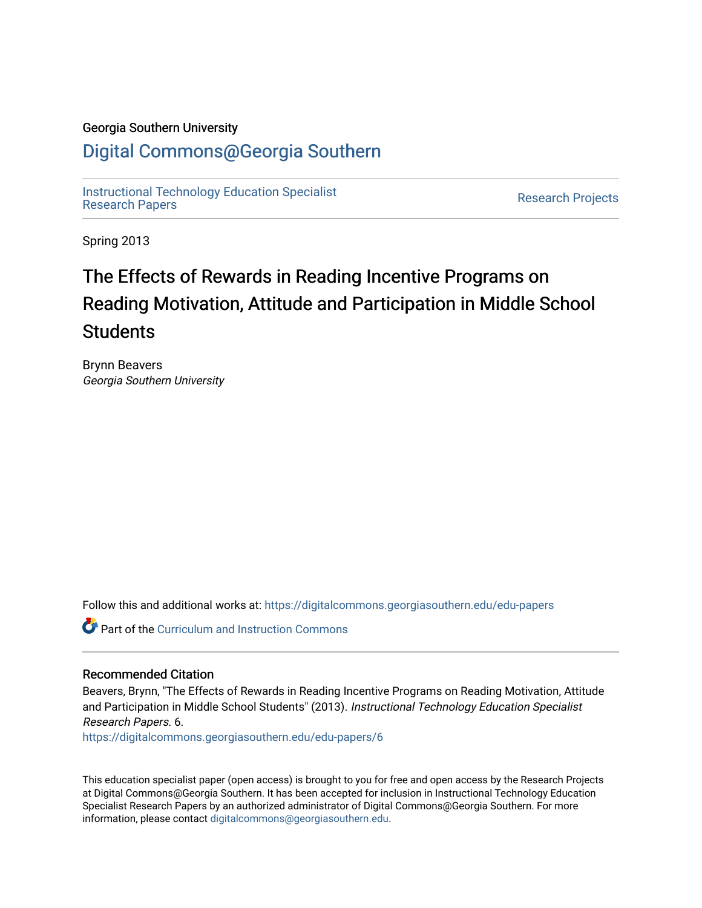# Georgia Southern University

# [Digital Commons@Georgia Southern](https://digitalcommons.georgiasouthern.edu/)

[Instructional Technology Education Specialist](https://digitalcommons.georgiasouthern.edu/edu-papers)  [Research Papers](https://digitalcommons.georgiasouthern.edu/edu-papers) [Research Projects](https://digitalcommons.georgiasouthern.edu/research-projects) 

Spring 2013

# The Effects of Rewards in Reading Incentive Programs on Reading Motivation, Attitude and Participation in Middle School **Students**

Brynn Beavers Georgia Southern University

Follow this and additional works at: [https://digitalcommons.georgiasouthern.edu/edu-papers](https://digitalcommons.georgiasouthern.edu/edu-papers?utm_source=digitalcommons.georgiasouthern.edu%2Fedu-papers%2F6&utm_medium=PDF&utm_campaign=PDFCoverPages) 

**Part of the Curriculum and Instruction Commons** 

# Recommended Citation

Beavers, Brynn, "The Effects of Rewards in Reading Incentive Programs on Reading Motivation, Attitude and Participation in Middle School Students" (2013). Instructional Technology Education Specialist Research Papers. 6.

[https://digitalcommons.georgiasouthern.edu/edu-papers/6](https://digitalcommons.georgiasouthern.edu/edu-papers/6?utm_source=digitalcommons.georgiasouthern.edu%2Fedu-papers%2F6&utm_medium=PDF&utm_campaign=PDFCoverPages)

This education specialist paper (open access) is brought to you for free and open access by the Research Projects at Digital Commons@Georgia Southern. It has been accepted for inclusion in Instructional Technology Education Specialist Research Papers by an authorized administrator of Digital Commons@Georgia Southern. For more information, please contact [digitalcommons@georgiasouthern.edu](mailto:digitalcommons@georgiasouthern.edu).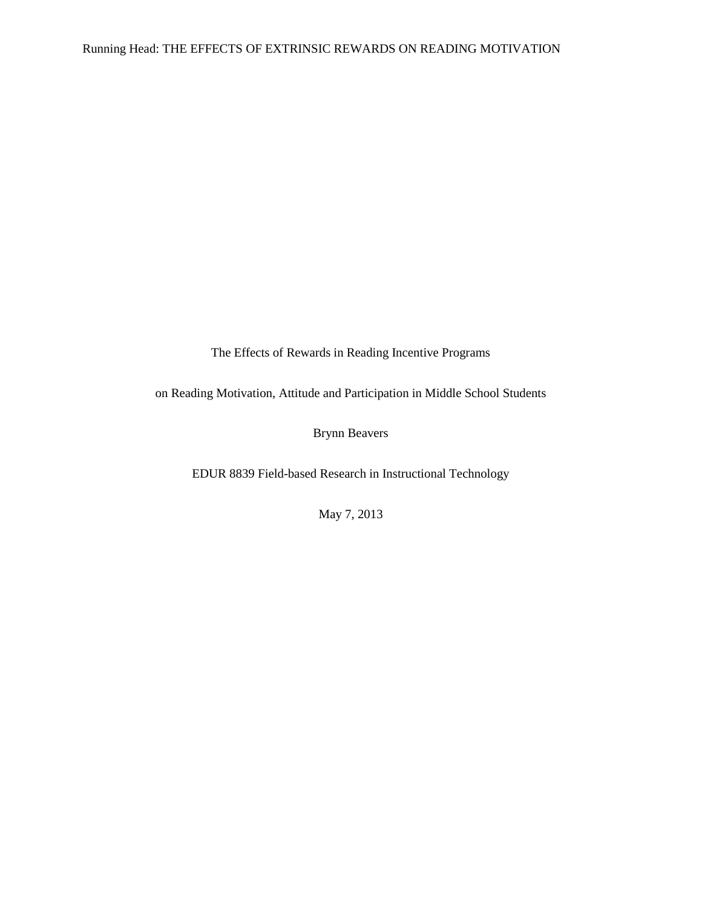The Effects of Rewards in Reading Incentive Programs

on Reading Motivation, Attitude and Participation in Middle School Students

Brynn Beavers

EDUR 8839 Field-based Research in Instructional Technology

May 7, 2013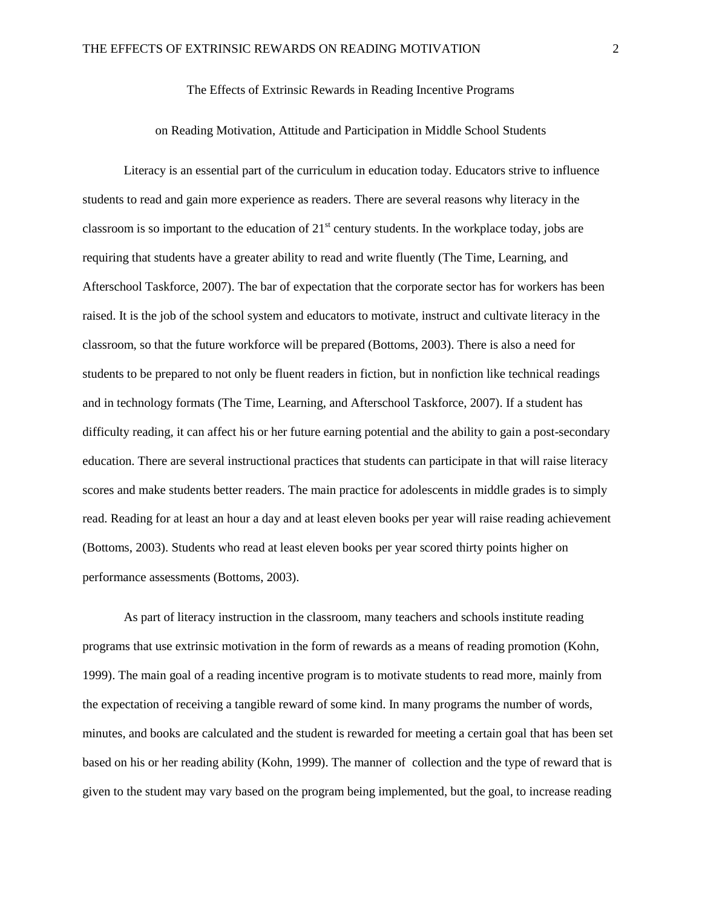The Effects of Extrinsic Rewards in Reading Incentive Programs

#### on Reading Motivation, Attitude and Participation in Middle School Students

Literacy is an essential part of the curriculum in education today. Educators strive to influence students to read and gain more experience as readers. There are several reasons why literacy in the classroom is so important to the education of  $21<sup>st</sup>$  century students. In the workplace today, jobs are requiring that students have a greater ability to read and write fluently (The Time, Learning, and Afterschool Taskforce, 2007). The bar of expectation that the corporate sector has for workers has been raised. It is the job of the school system and educators to motivate, instruct and cultivate literacy in the classroom, so that the future workforce will be prepared (Bottoms, 2003). There is also a need for students to be prepared to not only be fluent readers in fiction, but in nonfiction like technical readings and in technology formats (The Time, Learning, and Afterschool Taskforce, 2007). If a student has difficulty reading, it can affect his or her future earning potential and the ability to gain a post-secondary education. There are several instructional practices that students can participate in that will raise literacy scores and make students better readers. The main practice for adolescents in middle grades is to simply read. Reading for at least an hour a day and at least eleven books per year will raise reading achievement (Bottoms, 2003). Students who read at least eleven books per year scored thirty points higher on performance assessments (Bottoms, 2003).

As part of literacy instruction in the classroom, many teachers and schools institute reading programs that use extrinsic motivation in the form of rewards as a means of reading promotion (Kohn, 1999). The main goal of a reading incentive program is to motivate students to read more, mainly from the expectation of receiving a tangible reward of some kind. In many programs the number of words, minutes, and books are calculated and the student is rewarded for meeting a certain goal that has been set based on his or her reading ability (Kohn, 1999). The manner of collection and the type of reward that is given to the student may vary based on the program being implemented, but the goal, to increase reading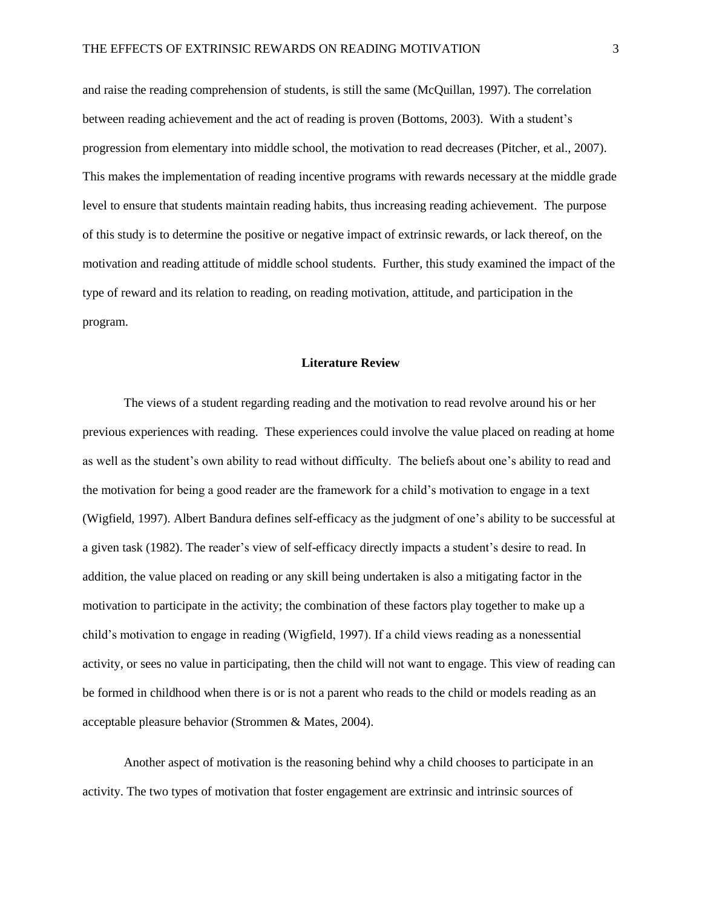and raise the reading comprehension of students, is still the same (McQuillan, 1997). The correlation between reading achievement and the act of reading is proven (Bottoms, 2003). With a student's progression from elementary into middle school, the motivation to read decreases (Pitcher, et al., 2007). This makes the implementation of reading incentive programs with rewards necessary at the middle grade level to ensure that students maintain reading habits, thus increasing reading achievement. The purpose of this study is to determine the positive or negative impact of extrinsic rewards, or lack thereof, on the motivation and reading attitude of middle school students. Further, this study examined the impact of the type of reward and its relation to reading, on reading motivation, attitude, and participation in the program.

#### **Literature Review**

The views of a student regarding reading and the motivation to read revolve around his or her previous experiences with reading. These experiences could involve the value placed on reading at home as well as the student's own ability to read without difficulty. The beliefs about one's ability to read and the motivation for being a good reader are the framework for a child's motivation to engage in a text (Wigfield, 1997). Albert Bandura defines self-efficacy as the judgment of one's ability to be successful at a given task (1982). The reader's view of self-efficacy directly impacts a student's desire to read. In addition, the value placed on reading or any skill being undertaken is also a mitigating factor in the motivation to participate in the activity; the combination of these factors play together to make up a child's motivation to engage in reading (Wigfield, 1997). If a child views reading as a nonessential activity, or sees no value in participating, then the child will not want to engage. This view of reading can be formed in childhood when there is or is not a parent who reads to the child or models reading as an acceptable pleasure behavior (Strommen & Mates, 2004).

Another aspect of motivation is the reasoning behind why a child chooses to participate in an activity. The two types of motivation that foster engagement are extrinsic and intrinsic sources of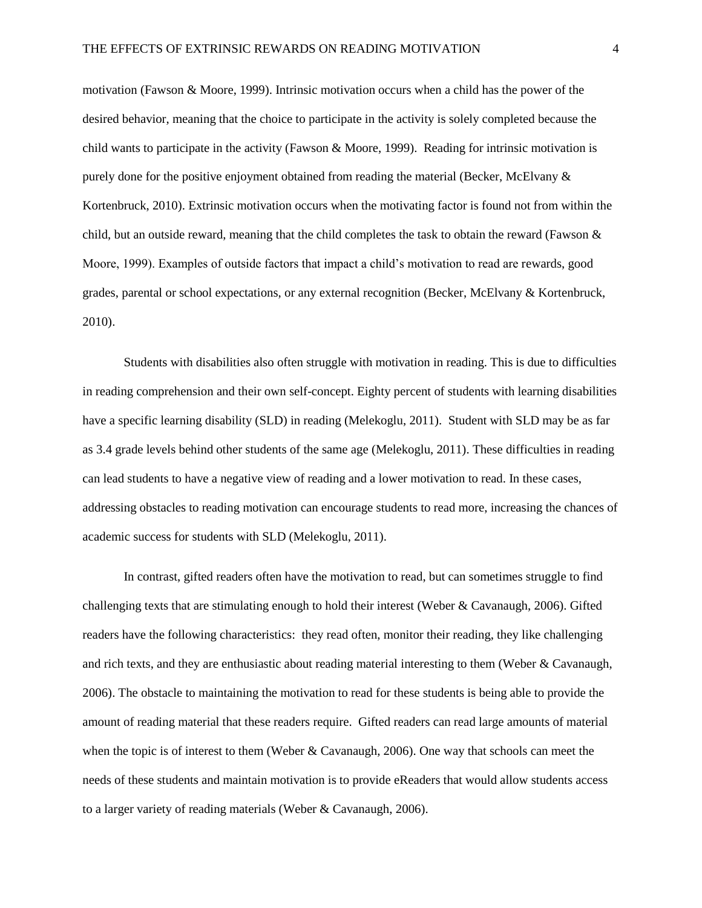motivation (Fawson & Moore, 1999). Intrinsic motivation occurs when a child has the power of the desired behavior, meaning that the choice to participate in the activity is solely completed because the child wants to participate in the activity (Fawson & Moore, 1999). Reading for intrinsic motivation is purely done for the positive enjoyment obtained from reading the material (Becker, McElvany & Kortenbruck, 2010). Extrinsic motivation occurs when the motivating factor is found not from within the child, but an outside reward, meaning that the child completes the task to obtain the reward (Fawson  $\&$ Moore, 1999). Examples of outside factors that impact a child's motivation to read are rewards, good grades, parental or school expectations, or any external recognition (Becker, McElvany & Kortenbruck, 2010).

Students with disabilities also often struggle with motivation in reading. This is due to difficulties in reading comprehension and their own self-concept. Eighty percent of students with learning disabilities have a specific learning disability (SLD) in reading (Melekoglu, 2011). Student with SLD may be as far as 3.4 grade levels behind other students of the same age (Melekoglu, 2011). These difficulties in reading can lead students to have a negative view of reading and a lower motivation to read. In these cases, addressing obstacles to reading motivation can encourage students to read more, increasing the chances of academic success for students with SLD (Melekoglu, 2011).

In contrast, gifted readers often have the motivation to read, but can sometimes struggle to find challenging texts that are stimulating enough to hold their interest (Weber & Cavanaugh, 2006). Gifted readers have the following characteristics: they read often, monitor their reading, they like challenging and rich texts, and they are enthusiastic about reading material interesting to them (Weber & Cavanaugh, 2006). The obstacle to maintaining the motivation to read for these students is being able to provide the amount of reading material that these readers require. Gifted readers can read large amounts of material when the topic is of interest to them (Weber & Cavanaugh, 2006). One way that schools can meet the needs of these students and maintain motivation is to provide eReaders that would allow students access to a larger variety of reading materials (Weber & Cavanaugh, 2006).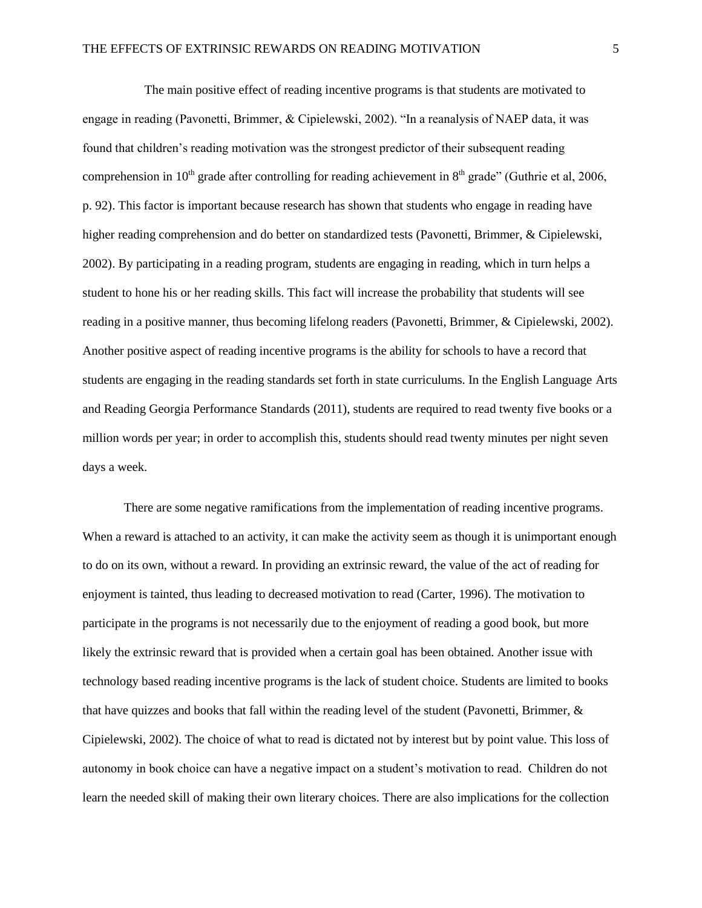The main positive effect of reading incentive programs is that students are motivated to engage in reading (Pavonetti, Brimmer, & Cipielewski, 2002). "In a reanalysis of NAEP data, it was found that children's reading motivation was the strongest predictor of their subsequent reading comprehension in 10<sup>th</sup> grade after controlling for reading achievement in  $8<sup>th</sup>$  grade" (Guthrie et al, 2006, p. 92). This factor is important because research has shown that students who engage in reading have higher reading comprehension and do better on standardized tests (Pavonetti, Brimmer, & Cipielewski, 2002). By participating in a reading program, students are engaging in reading, which in turn helps a student to hone his or her reading skills. This fact will increase the probability that students will see reading in a positive manner, thus becoming lifelong readers (Pavonetti, Brimmer, & Cipielewski, 2002). Another positive aspect of reading incentive programs is the ability for schools to have a record that students are engaging in the reading standards set forth in state curriculums. In the English Language Arts and Reading Georgia Performance Standards (2011), students are required to read twenty five books or a million words per year; in order to accomplish this, students should read twenty minutes per night seven days a week.

There are some negative ramifications from the implementation of reading incentive programs. When a reward is attached to an activity, it can make the activity seem as though it is unimportant enough to do on its own, without a reward. In providing an extrinsic reward, the value of the act of reading for enjoyment is tainted, thus leading to decreased motivation to read (Carter, 1996). The motivation to participate in the programs is not necessarily due to the enjoyment of reading a good book, but more likely the extrinsic reward that is provided when a certain goal has been obtained. Another issue with technology based reading incentive programs is the lack of student choice. Students are limited to books that have quizzes and books that fall within the reading level of the student (Pavonetti, Brimmer, & Cipielewski, 2002). The choice of what to read is dictated not by interest but by point value. This loss of autonomy in book choice can have a negative impact on a student's motivation to read. Children do not learn the needed skill of making their own literary choices. There are also implications for the collection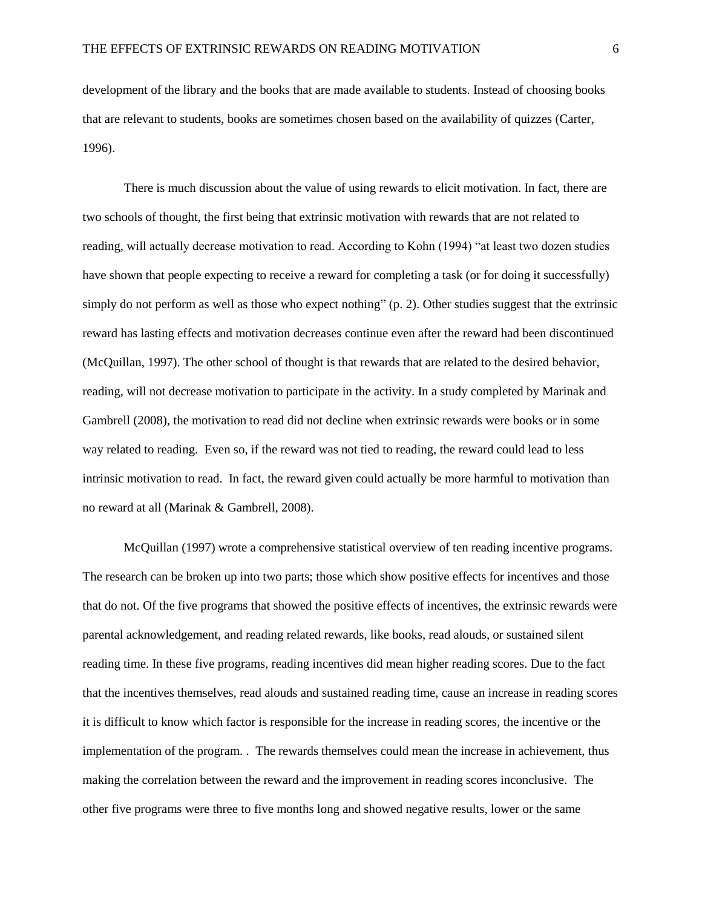development of the library and the books that are made available to students. Instead of choosing books that are relevant to students, books are sometimes chosen based on the availability of quizzes (Carter, 1996).

There is much discussion about the value of using rewards to elicit motivation. In fact, there are two schools of thought, the first being that extrinsic motivation with rewards that are not related to reading, will actually decrease motivation to read. According to Kohn (1994) "at least two dozen studies have shown that people expecting to receive a reward for completing a task (or for doing it successfully) simply do not perform as well as those who expect nothing" (p. 2). Other studies suggest that the extrinsic reward has lasting effects and motivation decreases continue even after the reward had been discontinued (McQuillan, 1997). The other school of thought is that rewards that are related to the desired behavior, reading, will not decrease motivation to participate in the activity. In a study completed by Marinak and Gambrell (2008), the motivation to read did not decline when extrinsic rewards were books or in some way related to reading. Even so, if the reward was not tied to reading, the reward could lead to less intrinsic motivation to read. In fact, the reward given could actually be more harmful to motivation than no reward at all (Marinak & Gambrell, 2008).

McQuillan (1997) wrote a comprehensive statistical overview of ten reading incentive programs. The research can be broken up into two parts; those which show positive effects for incentives and those that do not. Of the five programs that showed the positive effects of incentives, the extrinsic rewards were parental acknowledgement, and reading related rewards, like books, read alouds, or sustained silent reading time. In these five programs, reading incentives did mean higher reading scores. Due to the fact that the incentives themselves, read alouds and sustained reading time, cause an increase in reading scores it is difficult to know which factor is responsible for the increase in reading scores, the incentive or the implementation of the program. . The rewards themselves could mean the increase in achievement, thus making the correlation between the reward and the improvement in reading scores inconclusive. The other five programs were three to five months long and showed negative results, lower or the same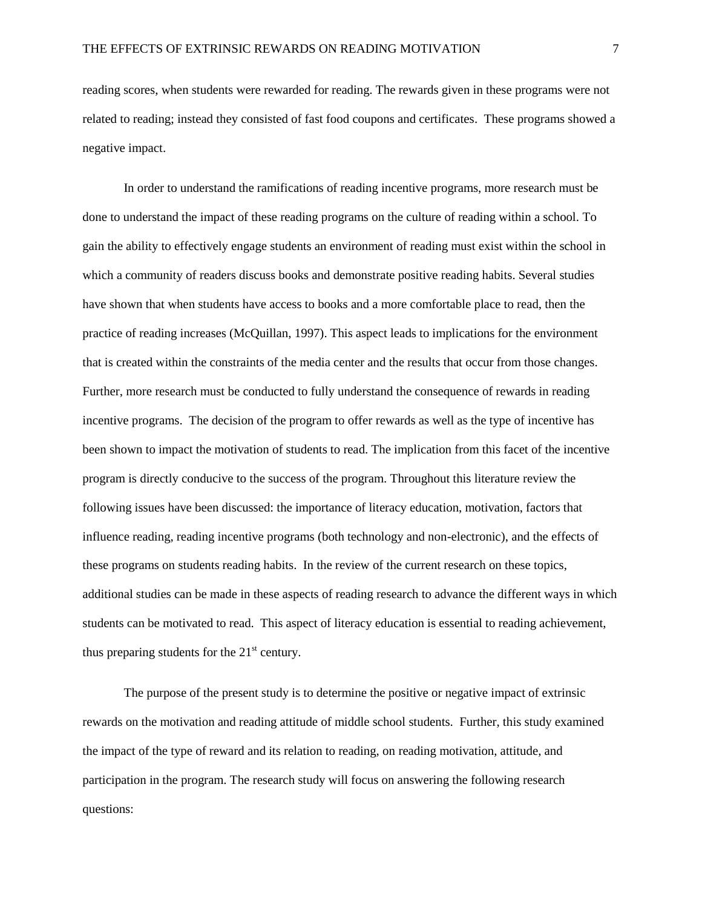reading scores, when students were rewarded for reading. The rewards given in these programs were not related to reading; instead they consisted of fast food coupons and certificates. These programs showed a negative impact.

In order to understand the ramifications of reading incentive programs, more research must be done to understand the impact of these reading programs on the culture of reading within a school. To gain the ability to effectively engage students an environment of reading must exist within the school in which a community of readers discuss books and demonstrate positive reading habits. Several studies have shown that when students have access to books and a more comfortable place to read, then the practice of reading increases (McQuillan, 1997). This aspect leads to implications for the environment that is created within the constraints of the media center and the results that occur from those changes. Further, more research must be conducted to fully understand the consequence of rewards in reading incentive programs. The decision of the program to offer rewards as well as the type of incentive has been shown to impact the motivation of students to read. The implication from this facet of the incentive program is directly conducive to the success of the program. Throughout this literature review the following issues have been discussed: the importance of literacy education, motivation, factors that influence reading, reading incentive programs (both technology and non-electronic), and the effects of these programs on students reading habits. In the review of the current research on these topics, additional studies can be made in these aspects of reading research to advance the different ways in which students can be motivated to read. This aspect of literacy education is essential to reading achievement, thus preparing students for the  $21<sup>st</sup>$  century.

The purpose of the present study is to determine the positive or negative impact of extrinsic rewards on the motivation and reading attitude of middle school students. Further, this study examined the impact of the type of reward and its relation to reading, on reading motivation, attitude, and participation in the program. The research study will focus on answering the following research questions: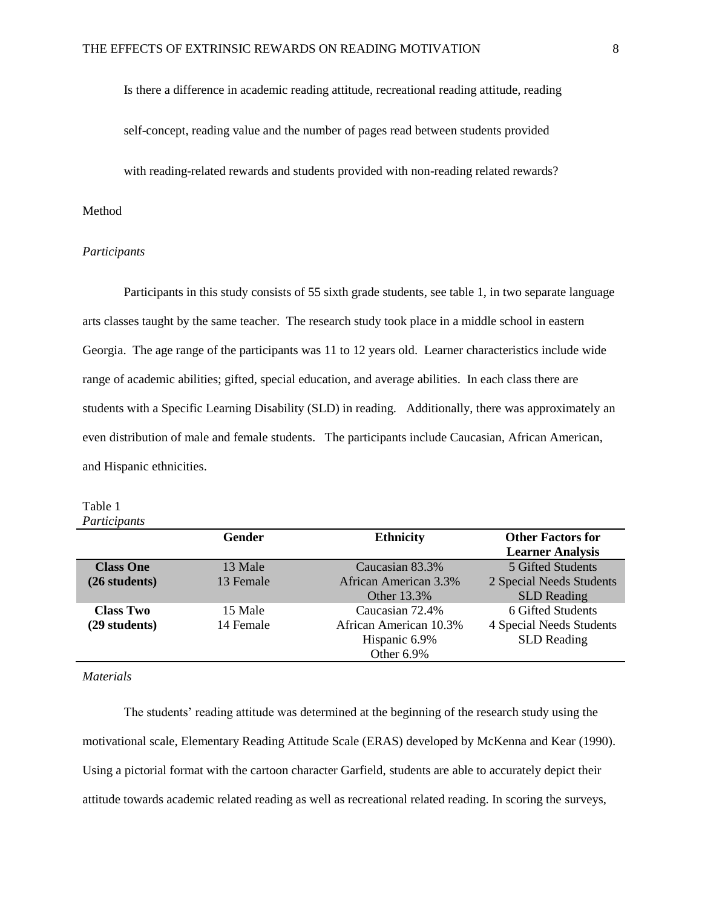Is there a difference in academic reading attitude, recreational reading attitude, reading self-concept, reading value and the number of pages read between students provided

with reading-related rewards and students provided with non-reading related rewards?

### Method

## *Participants*

Participants in this study consists of 55 sixth grade students, see table 1, in two separate language arts classes taught by the same teacher. The research study took place in a middle school in eastern Georgia. The age range of the participants was 11 to 12 years old. Learner characteristics include wide range of academic abilities; gifted, special education, and average abilities. In each class there are students with a Specific Learning Disability (SLD) in reading. Additionally, there was approximately an even distribution of male and female students. The participants include Caucasian, African American, and Hispanic ethnicities.

#### Table 1 *Participants*

|                  | Gender    | <b>Ethnicity</b>       | <b>Other Factors for</b> |  |
|------------------|-----------|------------------------|--------------------------|--|
|                  |           |                        | <b>Learner Analysis</b>  |  |
| <b>Class One</b> | 13 Male   | Caucasian 83.3%        | 5 Gifted Students        |  |
| (26 students)    | 13 Female | African American 3.3%  | 2 Special Needs Students |  |
|                  |           | Other 13.3%            | <b>SLD</b> Reading       |  |
| <b>Class Two</b> | 15 Male   | Caucasian 72.4%        | 6 Gifted Students        |  |
| (29 students)    | 14 Female | African American 10.3% | 4 Special Needs Students |  |
|                  |           | Hispanic 6.9%          | <b>SLD</b> Reading       |  |
|                  |           | Other 6.9%             |                          |  |
|                  |           |                        |                          |  |

*Materials*

The students' reading attitude was determined at the beginning of the research study using the motivational scale, Elementary Reading Attitude Scale (ERAS) developed by McKenna and Kear (1990). Using a pictorial format with the cartoon character Garfield, students are able to accurately depict their attitude towards academic related reading as well as recreational related reading. In scoring the surveys,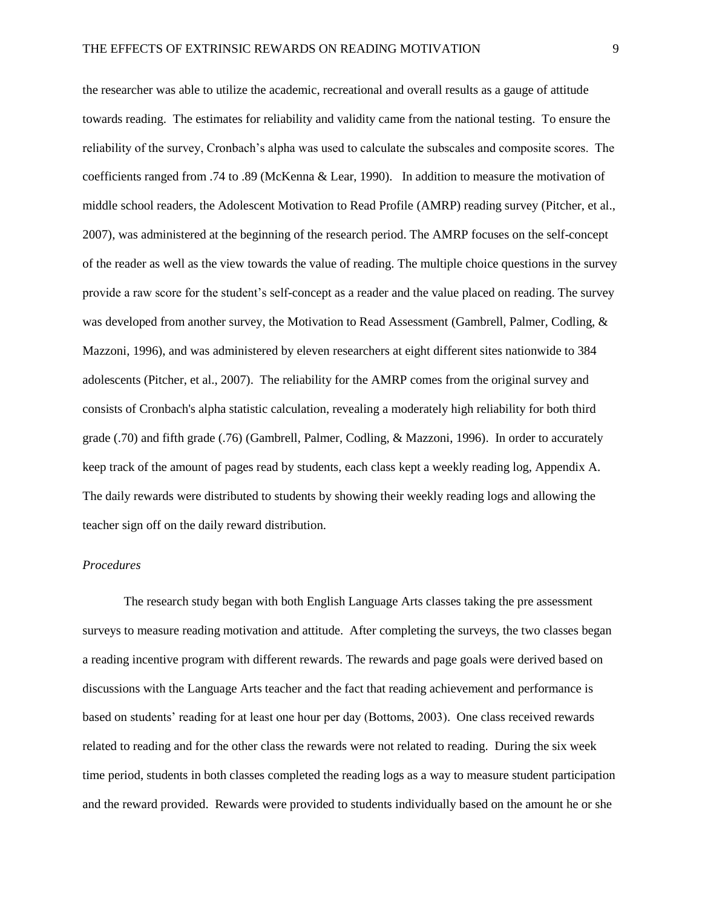the researcher was able to utilize the academic, recreational and overall results as a gauge of attitude towards reading. The estimates for reliability and validity came from the national testing. To ensure the reliability of the survey, Cronbach's alpha was used to calculate the subscales and composite scores. The coefficients ranged from .74 to .89 (McKenna & Lear, 1990). In addition to measure the motivation of middle school readers, the Adolescent Motivation to Read Profile (AMRP) reading survey (Pitcher, et al., 2007), was administered at the beginning of the research period. The AMRP focuses on the self-concept of the reader as well as the view towards the value of reading. The multiple choice questions in the survey provide a raw score for the student's self-concept as a reader and the value placed on reading. The survey was developed from another survey, the Motivation to Read Assessment (Gambrell, Palmer, Codling, & Mazzoni, 1996), and was administered by eleven researchers at eight different sites nationwide to 384 adolescents (Pitcher, et al., 2007). The reliability for the AMRP comes from the original survey and consists of Cronbach's alpha statistic calculation, revealing a moderately high reliability for both third grade (.70) and fifth grade (.76) (Gambrell, Palmer, Codling, & Mazzoni, 1996). In order to accurately keep track of the amount of pages read by students, each class kept a weekly reading log, Appendix A. The daily rewards were distributed to students by showing their weekly reading logs and allowing the teacher sign off on the daily reward distribution.

#### *Procedures*

The research study began with both English Language Arts classes taking the pre assessment surveys to measure reading motivation and attitude. After completing the surveys, the two classes began a reading incentive program with different rewards. The rewards and page goals were derived based on discussions with the Language Arts teacher and the fact that reading achievement and performance is based on students' reading for at least one hour per day (Bottoms, 2003). One class received rewards related to reading and for the other class the rewards were not related to reading. During the six week time period, students in both classes completed the reading logs as a way to measure student participation and the reward provided. Rewards were provided to students individually based on the amount he or she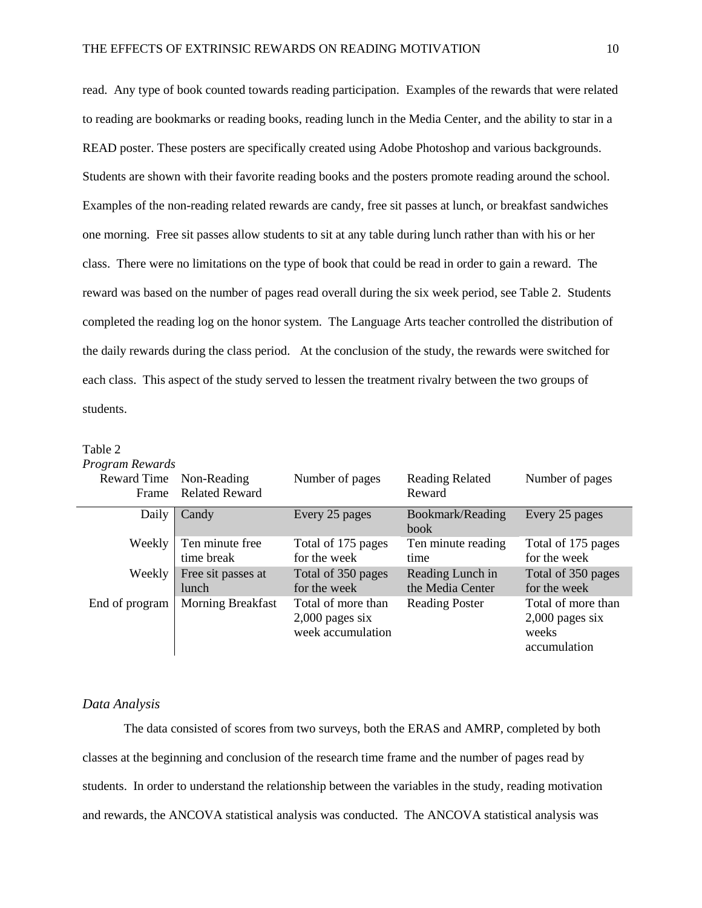read. Any type of book counted towards reading participation. Examples of the rewards that were related to reading are bookmarks or reading books, reading lunch in the Media Center, and the ability to star in a READ poster. These posters are specifically created using Adobe Photoshop and various backgrounds. Students are shown with their favorite reading books and the posters promote reading around the school. Examples of the non-reading related rewards are candy, free sit passes at lunch, or breakfast sandwiches one morning. Free sit passes allow students to sit at any table during lunch rather than with his or her class. There were no limitations on the type of book that could be read in order to gain a reward. The reward was based on the number of pages read overall during the six week period, see Table 2. Students completed the reading log on the honor system. The Language Arts teacher controlled the distribution of the daily rewards during the class period. At the conclusion of the study, the rewards were switched for each class. This aspect of the study served to lessen the treatment rivalry between the two groups of students.

#### Table 2

# *Program Rewards*

| 110xrum newurus |                               |                                                              |                                      |                                                                  |
|-----------------|-------------------------------|--------------------------------------------------------------|--------------------------------------|------------------------------------------------------------------|
| Reward Time     | Non-Reading                   | Number of pages                                              | <b>Reading Related</b>               | Number of pages                                                  |
| Frame           | <b>Related Reward</b>         |                                                              | Reward                               |                                                                  |
| Daily           | Candy                         | Every 25 pages                                               | Bookmark/Reading<br>book             | Every 25 pages                                                   |
| Weekly          | Ten minute free<br>time break | Total of 175 pages<br>for the week                           | Ten minute reading<br>time           | Total of 175 pages<br>for the week                               |
| Weekly          | Free sit passes at<br>lunch   | Total of 350 pages<br>for the week                           | Reading Lunch in<br>the Media Center | Total of 350 pages<br>for the week                               |
| End of program  | <b>Morning Breakfast</b>      | Total of more than<br>$2,000$ pages six<br>week accumulation | <b>Reading Poster</b>                | Total of more than<br>$2,000$ pages six<br>weeks<br>accumulation |

# *Data Analysis*

The data consisted of scores from two surveys, both the ERAS and AMRP, completed by both classes at the beginning and conclusion of the research time frame and the number of pages read by students. In order to understand the relationship between the variables in the study, reading motivation and rewards, the ANCOVA statistical analysis was conducted. The ANCOVA statistical analysis was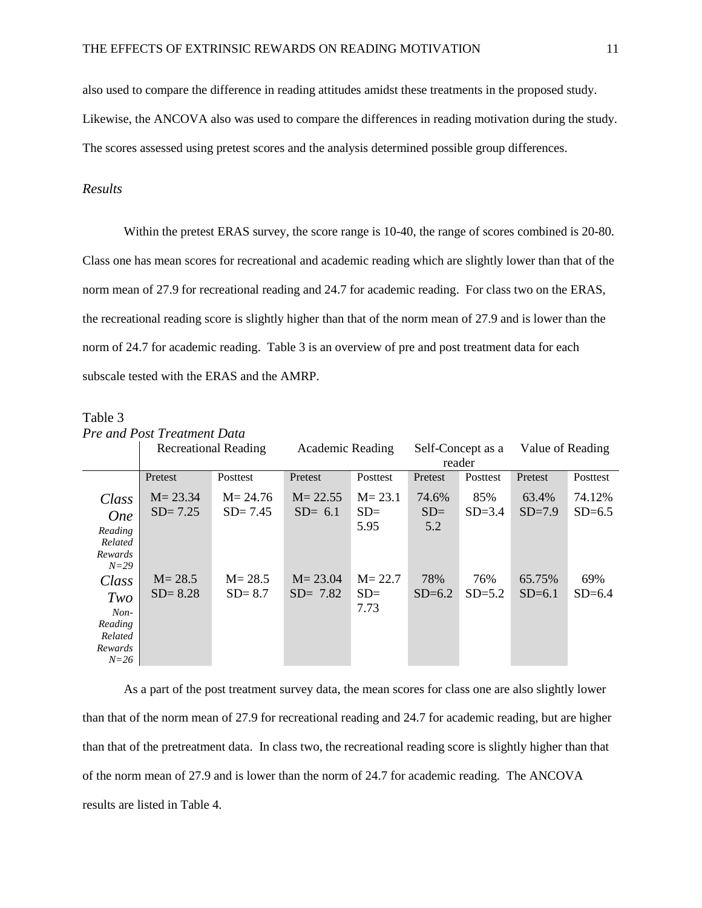also used to compare the difference in reading attitudes amidst these treatments in the proposed study. Likewise, the ANCOVA also was used to compare the differences in reading motivation during the study. The scores assessed using pretest scores and the analysis determined possible group differences.

# *Results*

Within the pretest ERAS survey, the score range is 10-40, the range of scores combined is 20-80. Class one has mean scores for recreational and academic reading which are slightly lower than that of the norm mean of 27.9 for recreational reading and 24.7 for academic reading. For class two on the ERAS, the recreational reading score is slightly higher than that of the norm mean of 27.9 and is lower than the norm of 24.7 for academic reading. Table 3 is an overview of pre and post treatment data for each subscale tested with the ERAS and the AMRP.

| Pre and Post Treatment Data                                       |                             |                            |                            |                              |                       |                   |                    |                    |
|-------------------------------------------------------------------|-----------------------------|----------------------------|----------------------------|------------------------------|-----------------------|-------------------|--------------------|--------------------|
|                                                                   | <b>Recreational Reading</b> |                            | Academic Reading           |                              | Self-Concept as a     |                   | Value of Reading   |                    |
|                                                                   |                             |                            |                            |                              |                       | reader            |                    |                    |
|                                                                   | Pretest                     | Posttest                   | Pretest                    | Posttest                     | Pretest               | <b>Posttest</b>   | Pretest            | Posttest           |
| Class<br><b>One</b><br>Reading<br>Related<br>Rewards<br>$N = 29$  | $M = 23.34$<br>$SD = 7.25$  | $M = 24.76$<br>$SD = 7.45$ | $M = 22.55$<br>$SD = 6.1$  | $M = 23.1$<br>$SD =$<br>5.95 | 74.6%<br>$SD=$<br>5.2 | 85%<br>$SD = 3.4$ | 63.4%<br>$SD=7.9$  | 74.12%<br>$SD=6.5$ |
| Class<br>Two<br>$Non-$<br>Reading<br>Related<br>Rewards<br>$N=26$ | $M = 28.5$<br>$SD = 8.28$   | $M = 28.5$<br>$SD = 8.7$   | $M = 23.04$<br>$SD = 7.82$ | $M = 22.7$<br>$SD =$<br>7.73 | 78%<br>$SD=6.2$       | 76%<br>$SD = 5.2$ | 65.75%<br>$SD=6.1$ | 69%<br>$SD=6.4$    |

Table 3

As a part of the post treatment survey data, the mean scores for class one are also slightly lower than that of the norm mean of 27.9 for recreational reading and 24.7 for academic reading, but are higher than that of the pretreatment data. In class two, the recreational reading score is slightly higher than that of the norm mean of 27.9 and is lower than the norm of 24.7 for academic reading. The ANCOVA results are listed in Table 4.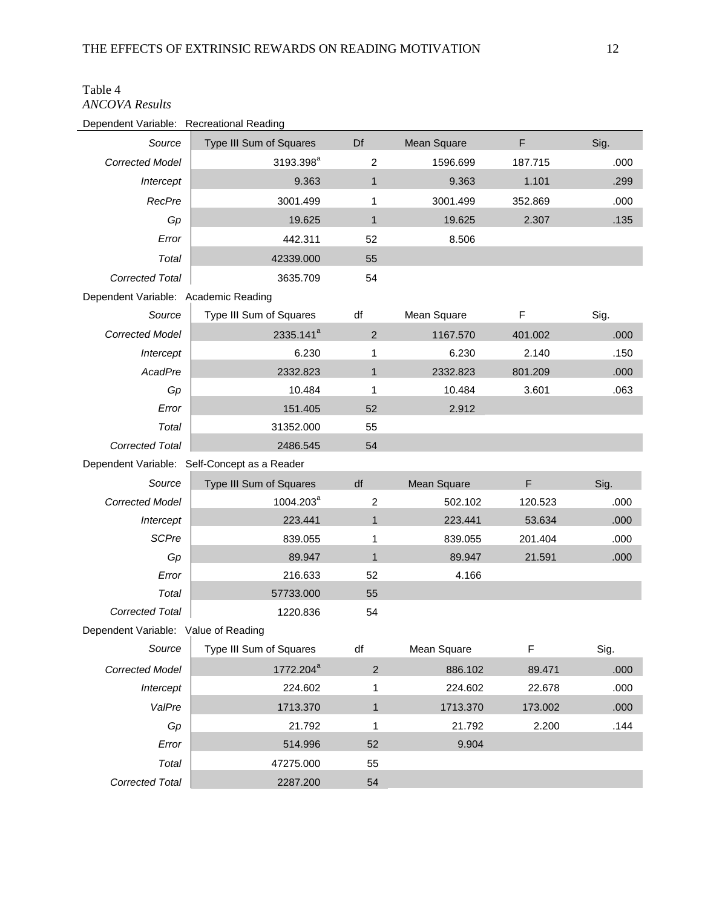| ANCOVA Results                           |                                              |                |             |         |      |  |
|------------------------------------------|----------------------------------------------|----------------|-------------|---------|------|--|
| Dependent Variable: Recreational Reading |                                              |                |             |         |      |  |
| Source                                   | Type III Sum of Squares                      | Df             | Mean Square | F       | Sig. |  |
| <b>Corrected Model</b>                   | 3193.398 <sup>ª</sup>                        | $\overline{c}$ | 1596.699    | 187.715 | .000 |  |
| Intercept                                | 9.363                                        | $\mathbf{1}$   | 9.363       | 1.101   | .299 |  |
| RecPre                                   | 3001.499                                     | 1              | 3001.499    | 352.869 | .000 |  |
| Gp                                       | 19.625                                       | $\mathbf{1}$   | 19.625      | 2.307   | .135 |  |
| Error                                    | 442.311                                      | 52             | 8.506       |         |      |  |
| Total                                    | 42339.000                                    | 55             |             |         |      |  |
| Corrected Total                          | 3635.709                                     | 54             |             |         |      |  |
| Dependent Variable: Academic Reading     |                                              |                |             |         |      |  |
| Source                                   | Type III Sum of Squares                      | df             | Mean Square | F       | Sig. |  |
| <b>Corrected Model</b>                   | 2335.141 <sup>a</sup>                        | $\overline{2}$ | 1167.570    | 401.002 | .000 |  |
| Intercept                                | 6.230                                        | 1              | 6.230       | 2.140   | .150 |  |
| AcadPre                                  | 2332.823                                     | $\mathbf{1}$   | 2332.823    | 801.209 | .000 |  |
| Gp                                       | 10.484                                       | 1              | 10.484      | 3.601   | .063 |  |
| Error                                    | 151.405                                      | 52             | 2.912       |         |      |  |
| Total                                    | 31352.000                                    | 55             |             |         |      |  |
| <b>Corrected Total</b>                   | 2486.545                                     | 54             |             |         |      |  |
|                                          | Dependent Variable: Self-Concept as a Reader |                |             |         |      |  |
| Source                                   | Type III Sum of Squares                      | df             | Mean Square | F       | Sig. |  |
| <b>Corrected Model</b>                   | 1004.203 <sup>a</sup>                        | 2              | 502.102     | 120.523 | .000 |  |
| Intercept                                | 223.441                                      | $\mathbf{1}$   | 223.441     | 53.634  | .000 |  |
| <b>SCPre</b>                             | 839.055                                      | 1              | 839.055     | 201.404 | .000 |  |
| Gp                                       | 89.947                                       | 1              | 89.947      | 21.591  | .000 |  |
| Error                                    | 216.633                                      | 52             | 4.166       |         |      |  |
| Total                                    | 57733.000                                    | 55             |             |         |      |  |
| <b>Corrected Total</b>                   | 1220.836                                     | 54             |             |         |      |  |
| Dependent Variable: Value of Reading     |                                              |                |             |         |      |  |
| Source                                   | Type III Sum of Squares                      | df             | Mean Square | F       | Sig. |  |
| <b>Corrected Model</b>                   | 1772.204 <sup>a</sup>                        | $\overline{2}$ | 886.102     | 89.471  | .000 |  |
| Intercept                                | 224.602                                      | 1              | 224.602     | 22.678  | .000 |  |
| ValPre                                   | 1713.370                                     | $\mathbf{1}$   | 1713.370    | 173.002 | .000 |  |
| Gp                                       | 21.792                                       | 1              | 21.792      | 2.200   | .144 |  |
| Error                                    | 514.996                                      | 52             | 9.904       |         |      |  |
| Total                                    | 47275.000                                    | 55             |             |         |      |  |
| Corrected Total                          | 2287.200                                     | 54             |             |         |      |  |

# Table 4 *ANCOVA Results*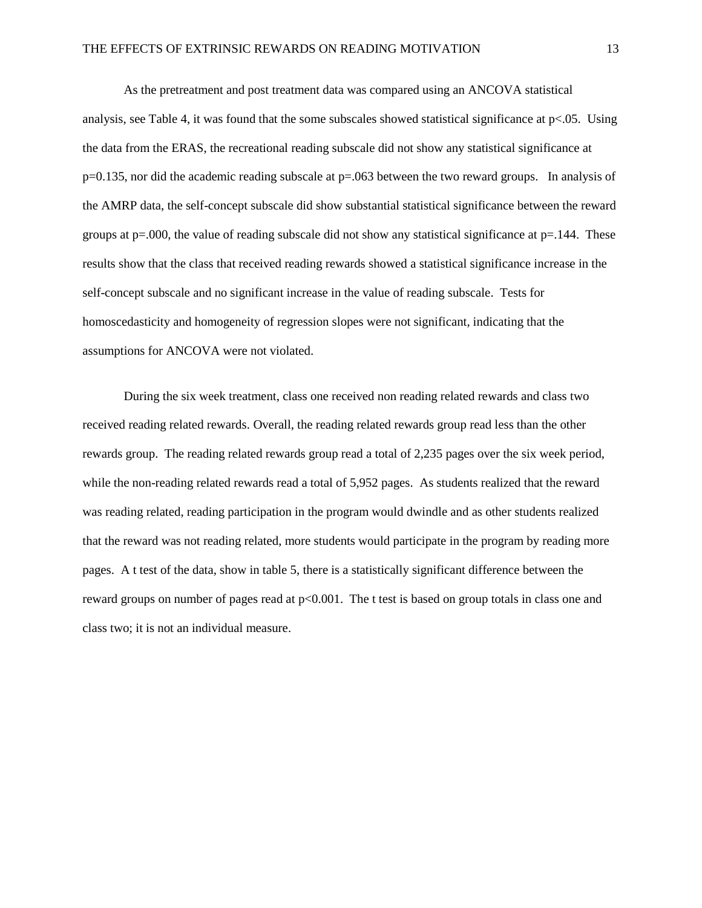As the pretreatment and post treatment data was compared using an ANCOVA statistical analysis, see Table 4, it was found that the some subscales showed statistical significance at  $p<0.05$ . Using the data from the ERAS, the recreational reading subscale did not show any statistical significance at p=0.135, nor did the academic reading subscale at p=.063 between the two reward groups. In analysis of the AMRP data, the self-concept subscale did show substantial statistical significance between the reward groups at  $p=0.00$ , the value of reading subscale did not show any statistical significance at  $p=144$ . These results show that the class that received reading rewards showed a statistical significance increase in the self-concept subscale and no significant increase in the value of reading subscale. Tests for homoscedasticity and homogeneity of regression slopes were not significant, indicating that the assumptions for ANCOVA were not violated.

During the six week treatment, class one received non reading related rewards and class two received reading related rewards. Overall, the reading related rewards group read less than the other rewards group. The reading related rewards group read a total of 2,235 pages over the six week period, while the non-reading related rewards read a total of 5,952 pages. As students realized that the reward was reading related, reading participation in the program would dwindle and as other students realized that the reward was not reading related, more students would participate in the program by reading more pages. A t test of the data, show in table 5, there is a statistically significant difference between the reward groups on number of pages read at  $p<0.001$ . The t test is based on group totals in class one and class two; it is not an individual measure.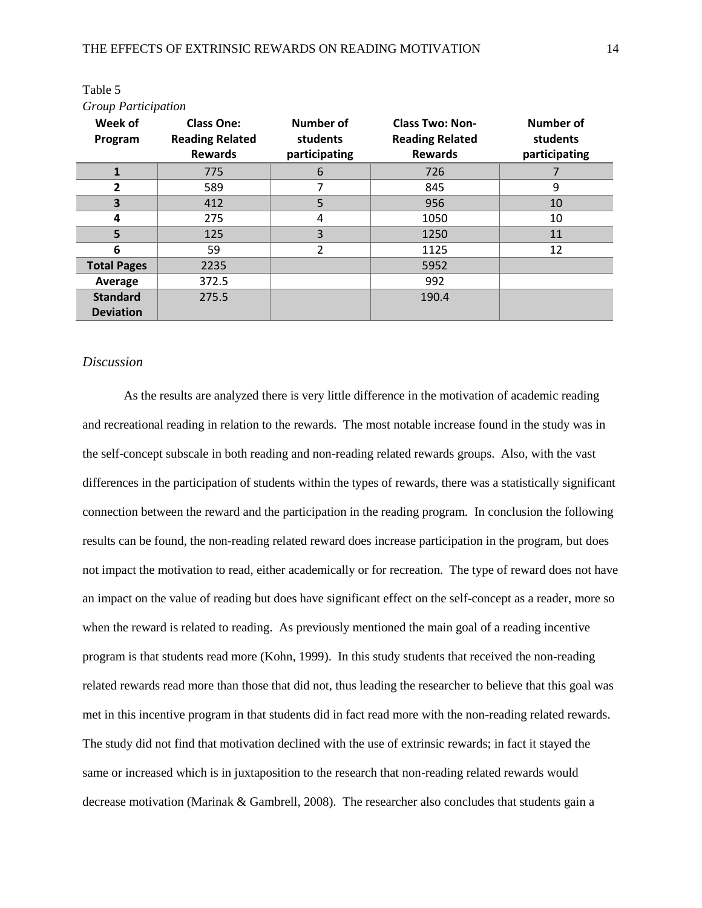| Week of<br>Program                  | <b>Class One:</b><br><b>Reading Related</b><br><b>Rewards</b> | <b>Number of</b><br>students<br>participating | <b>Class Two: Non-</b><br><b>Reading Related</b><br><b>Rewards</b> | <b>Number of</b><br>students<br>participating |
|-------------------------------------|---------------------------------------------------------------|-----------------------------------------------|--------------------------------------------------------------------|-----------------------------------------------|
| $\mathbf{1}$                        | 775                                                           | 6                                             | 726                                                                |                                               |
| $\overline{2}$                      | 589                                                           | 7                                             | 845                                                                | 9                                             |
| $\overline{\mathbf{3}}$             | 412                                                           | 5                                             | 956                                                                | 10                                            |
| 4                                   | 275                                                           | 4                                             | 1050                                                               | 10                                            |
| 5                                   | 125                                                           | 3                                             | 1250                                                               | 11                                            |
| 6                                   | 59                                                            | 2                                             | 1125                                                               | 12                                            |
| <b>Total Pages</b>                  | 2235                                                          |                                               | 5952                                                               |                                               |
| Average                             | 372.5                                                         |                                               | 992                                                                |                                               |
| <b>Standard</b><br><b>Deviation</b> | 275.5                                                         |                                               | 190.4                                                              |                                               |

# Table 5 *Group Participation*

# *Discussion*

As the results are analyzed there is very little difference in the motivation of academic reading and recreational reading in relation to the rewards. The most notable increase found in the study was in the self-concept subscale in both reading and non-reading related rewards groups. Also, with the vast differences in the participation of students within the types of rewards, there was a statistically significant connection between the reward and the participation in the reading program. In conclusion the following results can be found, the non-reading related reward does increase participation in the program, but does not impact the motivation to read, either academically or for recreation. The type of reward does not have an impact on the value of reading but does have significant effect on the self-concept as a reader, more so when the reward is related to reading. As previously mentioned the main goal of a reading incentive program is that students read more (Kohn, 1999). In this study students that received the non-reading related rewards read more than those that did not, thus leading the researcher to believe that this goal was met in this incentive program in that students did in fact read more with the non-reading related rewards. The study did not find that motivation declined with the use of extrinsic rewards; in fact it stayed the same or increased which is in juxtaposition to the research that non-reading related rewards would decrease motivation (Marinak & Gambrell, 2008). The researcher also concludes that students gain a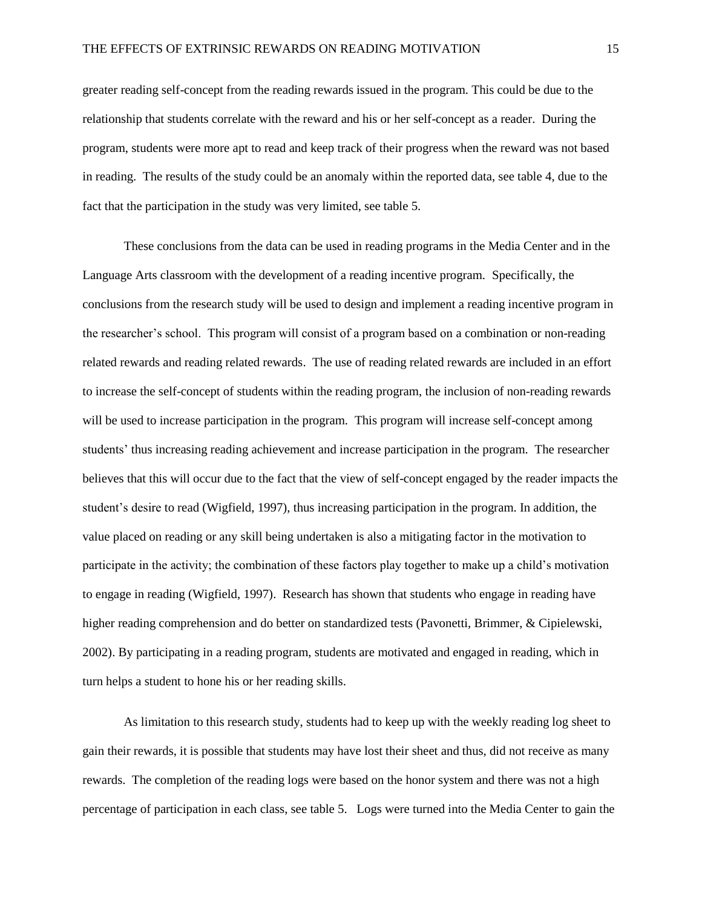greater reading self-concept from the reading rewards issued in the program. This could be due to the relationship that students correlate with the reward and his or her self-concept as a reader. During the program, students were more apt to read and keep track of their progress when the reward was not based in reading. The results of the study could be an anomaly within the reported data, see table 4, due to the fact that the participation in the study was very limited, see table 5.

These conclusions from the data can be used in reading programs in the Media Center and in the Language Arts classroom with the development of a reading incentive program. Specifically, the conclusions from the research study will be used to design and implement a reading incentive program in the researcher's school. This program will consist of a program based on a combination or non-reading related rewards and reading related rewards. The use of reading related rewards are included in an effort to increase the self-concept of students within the reading program, the inclusion of non-reading rewards will be used to increase participation in the program. This program will increase self-concept among students' thus increasing reading achievement and increase participation in the program. The researcher believes that this will occur due to the fact that the view of self-concept engaged by the reader impacts the student's desire to read (Wigfield, 1997), thus increasing participation in the program. In addition, the value placed on reading or any skill being undertaken is also a mitigating factor in the motivation to participate in the activity; the combination of these factors play together to make up a child's motivation to engage in reading (Wigfield, 1997). Research has shown that students who engage in reading have higher reading comprehension and do better on standardized tests (Pavonetti, Brimmer, & Cipielewski, 2002). By participating in a reading program, students are motivated and engaged in reading, which in turn helps a student to hone his or her reading skills.

As limitation to this research study, students had to keep up with the weekly reading log sheet to gain their rewards, it is possible that students may have lost their sheet and thus, did not receive as many rewards. The completion of the reading logs were based on the honor system and there was not a high percentage of participation in each class, see table 5. Logs were turned into the Media Center to gain the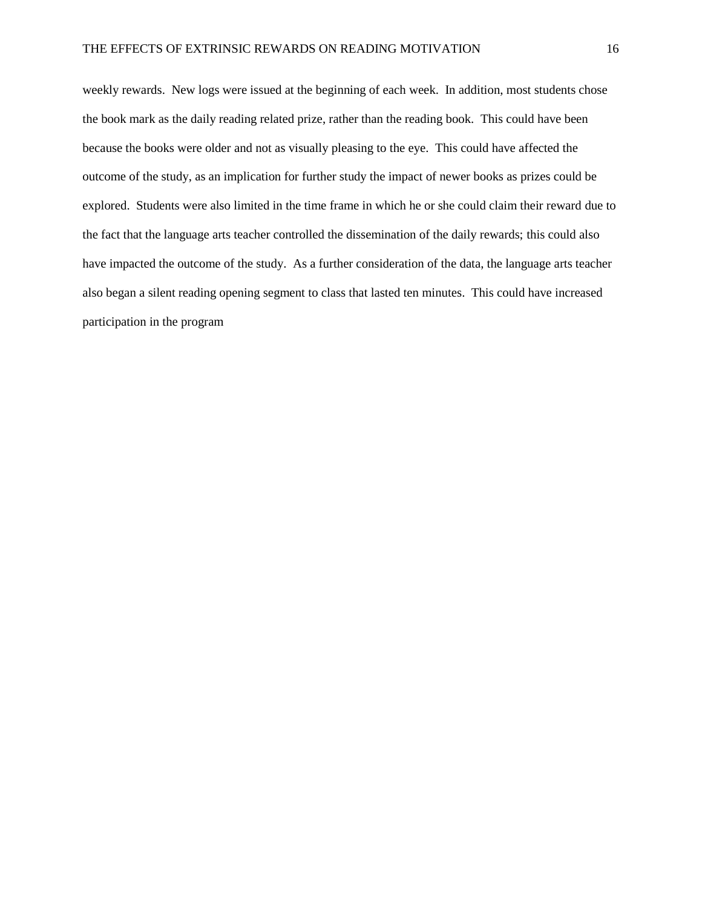weekly rewards. New logs were issued at the beginning of each week. In addition, most students chose the book mark as the daily reading related prize, rather than the reading book. This could have been because the books were older and not as visually pleasing to the eye. This could have affected the outcome of the study, as an implication for further study the impact of newer books as prizes could be explored. Students were also limited in the time frame in which he or she could claim their reward due to the fact that the language arts teacher controlled the dissemination of the daily rewards; this could also have impacted the outcome of the study. As a further consideration of the data, the language arts teacher also began a silent reading opening segment to class that lasted ten minutes. This could have increased participation in the program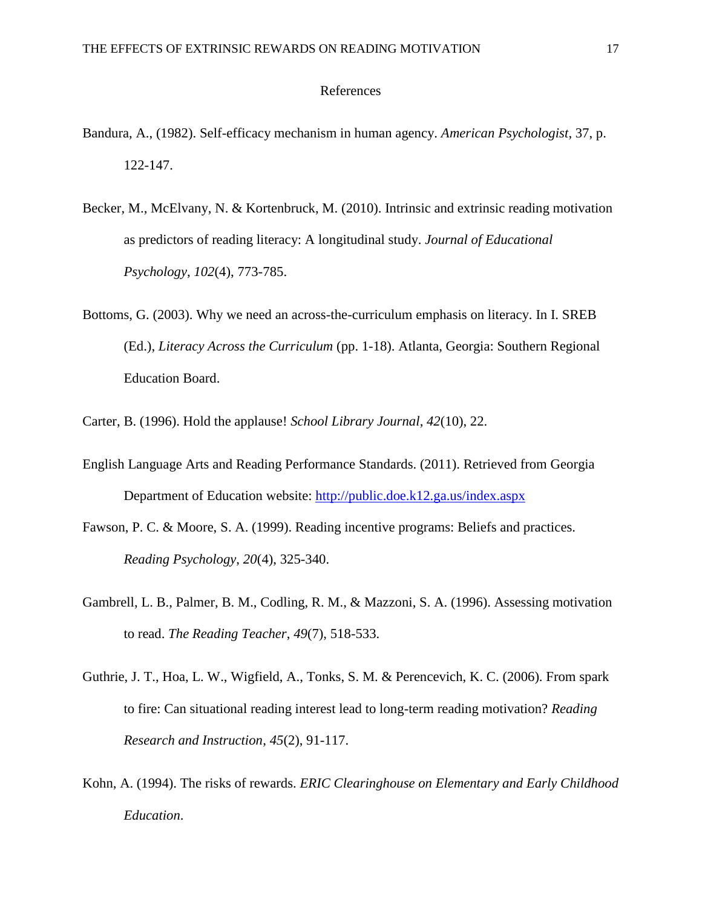#### References

- Bandura, A., (1982). Self-efficacy mechanism in human agency. *American Psychologist*, 37, p. 122-147.
- Becker, M., McElvany, N. & Kortenbruck, M. (2010). Intrinsic and extrinsic reading motivation as predictors of reading literacy: A longitudinal study. *Journal of Educational Psychology*, *102*(4), 773-785.
- Bottoms, G. (2003). Why we need an across-the-curriculum emphasis on literacy. In I. SREB (Ed.), *Literacy Across the Curriculum* (pp. 1-18). Atlanta, Georgia: Southern Regional Education Board.

Carter, B. (1996). Hold the applause! *School Library Journal*, *42*(10), 22.

- English Language Arts and Reading Performance Standards. (2011). Retrieved from Georgia Department of Education website:<http://public.doe.k12.ga.us/index.aspx>
- Fawson, P. C. & Moore, S. A. (1999). Reading incentive programs: Beliefs and practices. *Reading Psychology*, *20*(4), 325-340.
- Gambrell, L. B., Palmer, B. M., Codling, R. M., & Mazzoni, S. A. (1996). Assessing motivation to read. *The Reading Teacher*, *49*(7), 518-533.
- Guthrie, J. T., Hoa, L. W., Wigfield, A., Tonks, S. M. & Perencevich, K. C. (2006). From spark to fire: Can situational reading interest lead to long-term reading motivation? *Reading Research and Instruction*, *45*(2), 91-117.
- Kohn, A. (1994). The risks of rewards. *ERIC Clearinghouse on Elementary and Early Childhood Education*.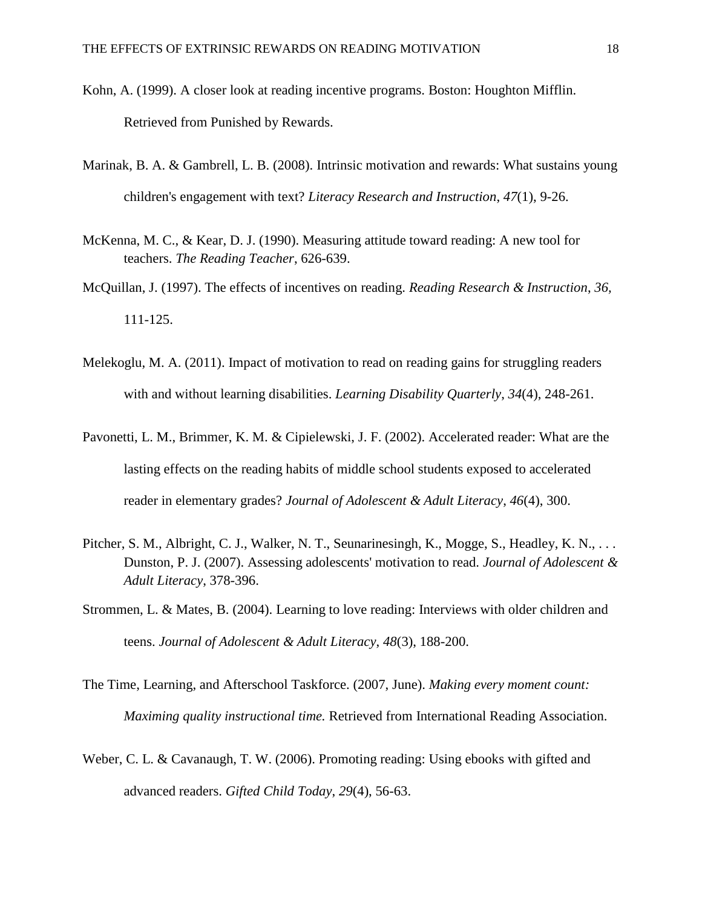- Kohn, A. (1999). A closer look at reading incentive programs. Boston: Houghton Mifflin. Retrieved from Punished by Rewards.
- Marinak, B. A. & Gambrell, L. B. (2008). Intrinsic motivation and rewards: What sustains young children's engagement with text? *Literacy Research and Instruction*, *47*(1), 9-26.
- McKenna, M. C., & Kear, D. J. (1990). Measuring attitude toward reading: A new tool for teachers. *The Reading Teacher*, 626-639.
- McQuillan, J. (1997). The effects of incentives on reading. *Reading Research & Instruction*, *36,*  111-125.
- Melekoglu, M. A. (2011). Impact of motivation to read on reading gains for struggling readers with and without learning disabilities. *Learning Disability Quarterly*, *34*(4), 248-261.
- Pavonetti, L. M., Brimmer, K. M. & Cipielewski, J. F. (2002). Accelerated reader: What are the lasting effects on the reading habits of middle school students exposed to accelerated reader in elementary grades? *Journal of Adolescent & Adult Literacy*, *46*(4), 300.
- Pitcher, S. M., Albright, C. J., Walker, N. T., Seunarinesingh, K., Mogge, S., Headley, K. N., . . . Dunston, P. J. (2007). Assessing adolescents' motivation to read. *Journal of Adolescent & Adult Literacy*, 378-396.
- Strommen, L. & Mates, B. (2004). Learning to love reading: Interviews with older children and teens. *Journal of Adolescent & Adult Literacy*, *48*(3), 188-200.
- The Time, Learning, and Afterschool Taskforce. (2007, June). *Making every moment count: Maximing quality instructional time.* Retrieved from International Reading Association.
- Weber, C. L. & Cavanaugh, T. W. (2006). Promoting reading: Using ebooks with gifted and advanced readers. *Gifted Child Today*, *29*(4), 56-63.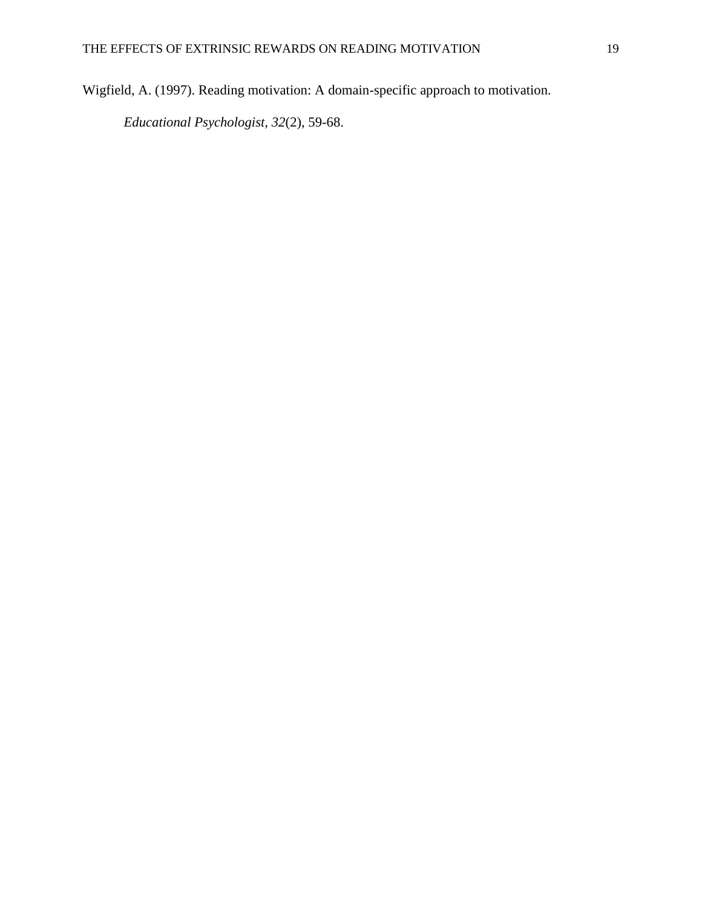Wigfield, A. (1997). Reading motivation: A domain-specific approach to motivation.

*Educational Psychologist, 32*(2), 59-68.